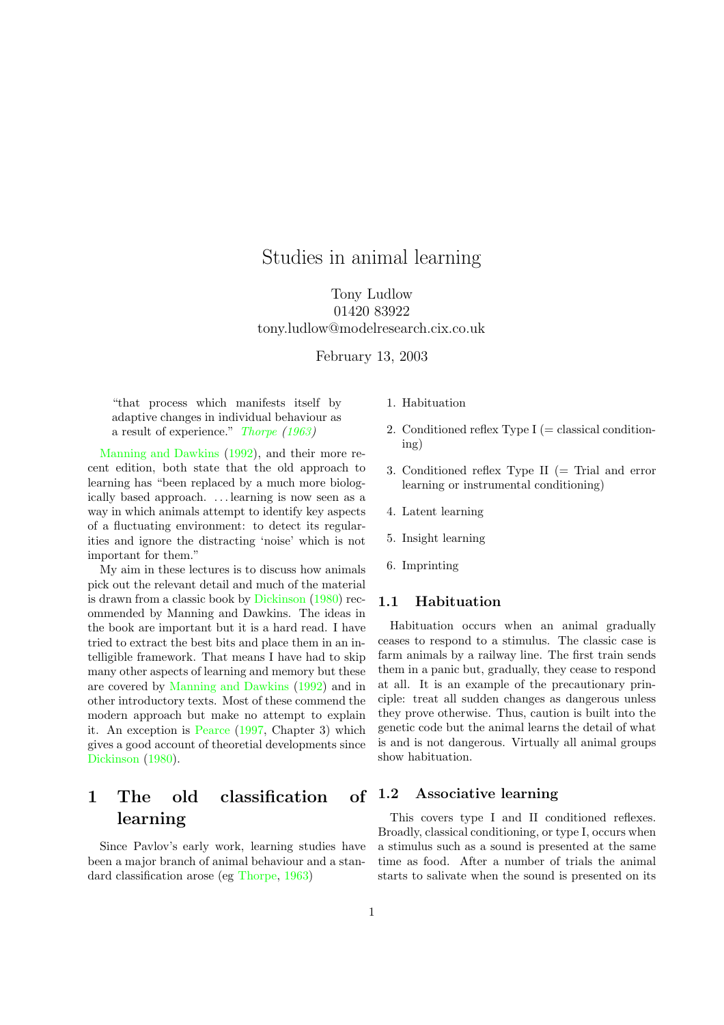# Studies in animal learning

Tony Ludlow 01420 83922 tony.ludlow@modelresearch.cix.co.uk

February 13, 2003

"that process which manifests itself by adaptive changes in individual behaviour as a result of experience." [Thorpe](#page-17-0) [\(1963](#page-17-0))

[Manning](#page-16-0) and Dawkins [\(1992\)](#page-16-0), and their more recent edition, both state that the old approach to learning has "been replaced by a much more biologically based approach. . . . learning is now seen as a way in which animals attempt to identify key aspects of a fluctuating environment: to detect its regularities and ignore the distracting 'noise' which is not important for them."

My aim in these lectures is to discuss how animals pick out the relevant detail and much of the material is drawn from a classic book by [Dickinson](#page-16-1) [\(1980\)](#page-16-1) recommended by Manning and Dawkins. The ideas in the book are important but it is a hard read. I have tried to extract the best bits and place them in an intelligible framework. That means I have had to skip many other aspects of learning and memory but these are covered by [Manning](#page-16-0) and Dawkins [\(1992\)](#page-16-0) and in other introductory texts. Most of these commend the modern approach but make no attempt to explain it. An exception is [Pearce](#page-16-2) [\(1997,](#page-16-2) Chapter 3) which gives a good account of theoretial developments since [Dickinson](#page-16-1) [\(1980\)](#page-16-1).

# 1 The old classification of 1.2 learning

Since Pavlov's early work, learning studies have been a major branch of animal behaviour and a standard classification arose (eg [Thorpe,](#page-17-0) [1963\)](#page-17-0)

- 1. Habituation
- 2. Conditioned reflex Type  $I$  (= classical conditioning)
- 3. Conditioned reflex Type II (= Trial and error learning or instrumental conditioning)
- 4. Latent learning
- 5. Insight learning
- 6. Imprinting

#### 1.1 Habituation

Habituation occurs when an animal gradually ceases to respond to a stimulus. The classic case is farm animals by a railway line. The first train sends them in a panic but, gradually, they cease to respond at all. It is an example of the precautionary principle: treat all sudden changes as dangerous unless they prove otherwise. Thus, caution is built into the genetic code but the animal learns the detail of what is and is not dangerous. Virtually all animal groups show habituation.

#### Associative learning

This covers type I and II conditioned reflexes. Broadly, classical conditioning, or type I, occurs when a stimulus such as a sound is presented at the same time as food. After a number of trials the animal starts to salivate when the sound is presented on its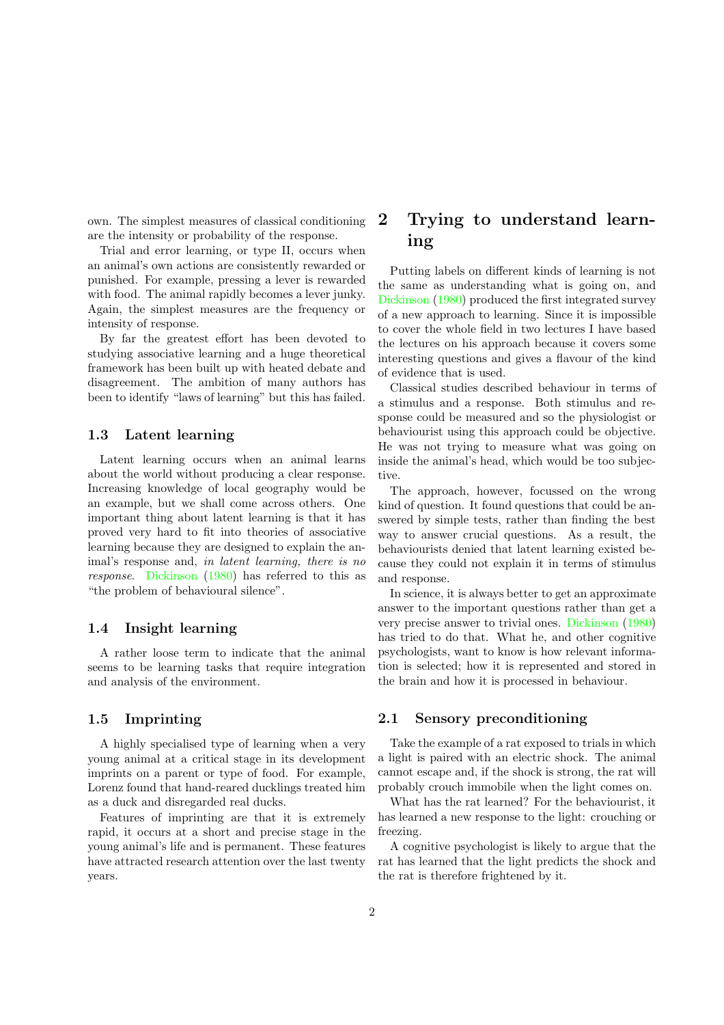own. The simplest measures of classical conditioning are the intensity or probability of the response.

Trial and error learning, or type II, occurs when an animal's own actions are consistently rewarded or punished. For example, pressing a lever is rewarded with food. The animal rapidly becomes a lever junky. Again, the simplest measures are the frequency or intensity of response.

By far the greatest effort has been devoted to studying associative learning and a huge theoretical framework has been built up with heated debate and disagreement. The ambition of many authors has been to identify "laws of learning" but this has failed.

#### 1.3 Latent learning

Latent learning occurs when an animal learns about the world without producing a clear response. Increasing knowledge of local geography would be an example, but we shall come across others. One important thing about latent learning is that it has proved very hard to fit into theories of associative learning because they are designed to explain the animal's response and, in latent learning, there is no response. [Dickinson](#page-16-1) [\(1980\)](#page-16-1) has referred to this as "the problem of behavioural silence".

#### 1.4 Insight learning

A rather loose term to indicate that the animal seems to be learning tasks that require integration and analysis of the environment.

#### 1.5 Imprinting

A highly specialised type of learning when a very young animal at a critical stage in its development imprints on a parent or type of food. For example, Lorenz found that hand-reared ducklings treated him as a duck and disregarded real ducks.

Features of imprinting are that it is extremely rapid, it occurs at a short and precise stage in the young animal's life and is permanent. These features have attracted research attention over the last twenty years.

# 2 Trying to understand learning

Putting labels on different kinds of learning is not the same as understanding what is going on, and [Dickinson](#page-16-1) [\(1980\)](#page-16-1) produced the first integrated survey of a new approach to learning. Since it is impossible to cover the whole field in two lectures I have based the lectures on his approach because it covers some interesting questions and gives a flavour of the kind of evidence that is used.

Classical studies described behaviour in terms of a stimulus and a response. Both stimulus and response could be measured and so the physiologist or behaviourist using this approach could be objective. He was not trying to measure what was going on inside the animal's head, which would be too subjective.

The approach, however, focussed on the wrong kind of question. It found questions that could be answered by simple tests, rather than finding the best way to answer crucial questions. As a result, the behaviourists denied that latent learning existed because they could not explain it in terms of stimulus and response.

In science, it is always better to get an approximate answer to the important questions rather than get a very precise answer to trivial ones. [Dickinson](#page-16-1) [\(1980\)](#page-16-1) has tried to do that. What he, and other cognitive psychologists, want to know is how relevant information is selected; how it is represented and stored in the brain and how it is processed in behaviour.

#### 2.1 Sensory preconditioning

Take the example of a rat exposed to trials in which a light is paired with an electric shock. The animal cannot escape and, if the shock is strong, the rat will probably crouch immobile when the light comes on.

What has the rat learned? For the behaviourist, it has learned a new response to the light: crouching or freezing.

A cognitive psychologist is likely to argue that the rat has learned that the light predicts the shock and the rat is therefore frightened by it.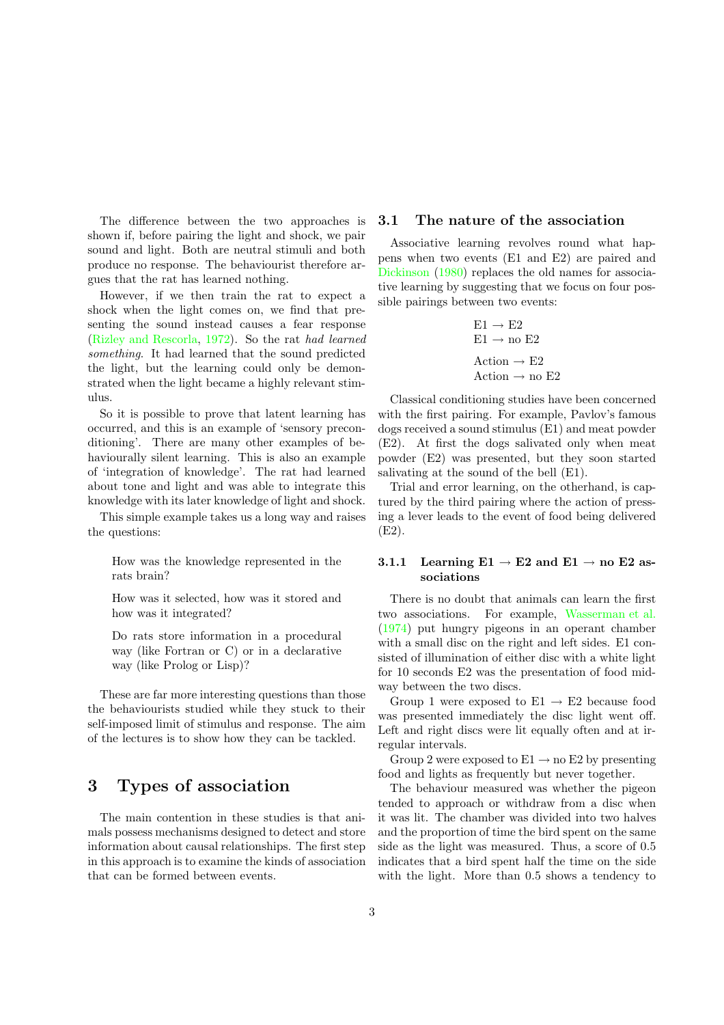The difference between the two approaches is shown if, before pairing the light and shock, we pair sound and light. Both are neutral stimuli and both produce no response. The behaviourist therefore argues that the rat has learned nothing.

However, if we then train the rat to expect a shock when the light comes on, we find that presenting the sound instead causes a fear response (Rizley and [Rescorla](#page-16-3), [1972\)](#page-16-3). So the rat had learned something. It had learned that the sound predicted the light, but the learning could only be demonstrated when the light became a highly relevant stimulus.

So it is possible to prove that latent learning has occurred, and this is an example of 'sensory preconditioning'. There are many other examples of behaviourally silent learning. This is also an example of 'integration of knowledge'. The rat had learned about tone and light and was able to integrate this knowledge with its later knowledge of light and shock.

This simple example takes us a long way and raises the questions:

How was the knowledge represented in the rats brain?

How was it selected, how was it stored and how was it integrated?

Do rats store information in a procedural way (like Fortran or C) or in a declarative way (like Prolog or Lisp)?

These are far more interesting questions than those the behaviourists studied while they stuck to their self-imposed limit of stimulus and response. The aim of the lectures is to show how they can be tackled.

# 3 Types of association

The main contention in these studies is that animals possess mechanisms designed to detect and store information about causal relationships. The first step in this approach is to examine the kinds of association that can be formed between events.

#### 3.1 The nature of the association

Associative learning revolves round what happens when two events (E1 and E2) are paired and [Dickinson](#page-16-1) [\(1980\)](#page-16-1) replaces the old names for associative learning by suggesting that we focus on four possible pairings between two events:

$$
E1 \rightarrow E2
$$
  
E1 \rightarrow no E2  
Action \rightarrow E2  
Action \rightarrow no E2

Classical conditioning studies have been concerned with the first pairing. For example, Pavlov's famous dogs received a sound stimulus (E1) and meat powder (E2). At first the dogs salivated only when meat powder (E2) was presented, but they soon started salivating at the sound of the bell (E1).

Trial and error learning, on the otherhand, is captured by the third pairing where the action of pressing a lever leads to the event of food being delivered (E2).

#### 3.1.1 Learning  $E1 \rightarrow E2$  and  $E1 \rightarrow$  no  $E2$  associations

There is no doubt that animals can learn the first two associations. For example, [Wasserman](#page-17-1) et al. [\(1974\)](#page-17-1) put hungry pigeons in an operant chamber with a small disc on the right and left sides. E1 consisted of illumination of either disc with a white light for 10 seconds E2 was the presentation of food midway between the two discs.

Group 1 were exposed to  $E1 \rightarrow E2$  because food was presented immediately the disc light went off. Left and right discs were lit equally often and at irregular intervals.

Group 2 were exposed to  $E1 \rightarrow$  no  $E2$  by presenting food and lights as frequently but never together.

The behaviour measured was whether the pigeon tended to approach or withdraw from a disc when it was lit. The chamber was divided into two halves and the proportion of time the bird spent on the same side as the light was measured. Thus, a score of 0.5 indicates that a bird spent half the time on the side with the light. More than 0.5 shows a tendency to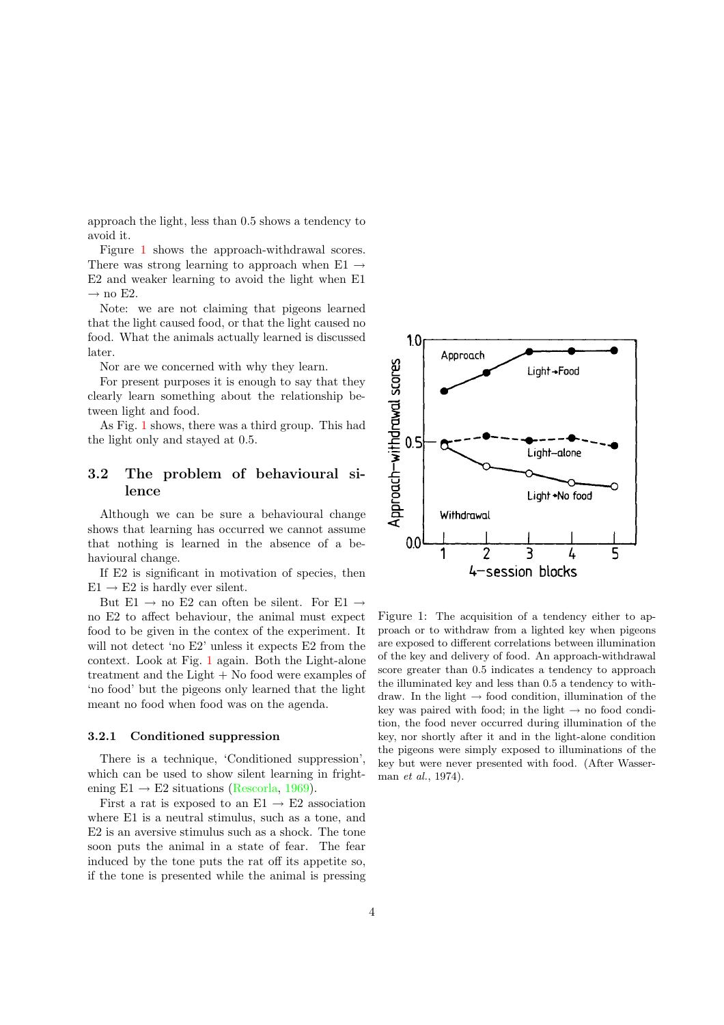approach the light, less than 0.5 shows a tendency to avoid it.

Figure [1](#page-3-0) shows the approach-withdrawal scores. There was strong learning to approach when E1  $\rightarrow$ E2 and weaker learning to avoid the light when E1  $\rightarrow$  no E2.

Note: we are not claiming that pigeons learned that the light caused food, or that the light caused no food. What the animals actually learned is discussed later.

Nor are we concerned with why they learn.

For present purposes it is enough to say that they clearly learn something about the relationship between light and food.

As Fig. [1](#page-3-0) shows, there was a third group. This had the light only and stayed at 0.5.

## 3.2 The problem of behavioural silence

Although we can be sure a behavioural change shows that learning has occurred we cannot assume that nothing is learned in the absence of a behavioural change.

If E2 is significant in motivation of species, then  $E1 \rightarrow E2$  is hardly ever silent.

But E1  $\rightarrow$  no E2 can often be silent. For E1  $\rightarrow$ no E2 to affect behaviour, the animal must expect food to be given in the contex of the experiment. It will not detect 'no E2' unless it expects E2 from the context. Look at Fig. [1](#page-3-0) again. Both the Light-alone treatment and the Light + No food were examples of 'no food' but the pigeons only learned that the light meant no food when food was on the agenda.

#### 3.2.1 Conditioned suppression

There is a technique, 'Conditioned suppression', which can be used to show silent learning in frightening  $E1 \rightarrow E2$  situations [\(Rescorla](#page-16-4), [1969](#page-16-4)).

First a rat is exposed to an  $E1 \rightarrow E2$  association where E1 is a neutral stimulus, such as a tone, and E2 is an aversive stimulus such as a shock. The tone soon puts the animal in a state of fear. The fear induced by the tone puts the rat off its appetite so, if the tone is presented while the animal is pressing



<span id="page-3-0"></span>Figure 1: The acquisition of a tendency either to approach or to withdraw from a lighted key when pigeons are exposed to different correlations between illumination of the key and delivery of food. An approach-withdrawal score greater than 0.5 indicates a tendency to approach the illuminated key and less than 0.5 a tendency to withdraw. In the light  $\rightarrow$  food condition, illumination of the key was paired with food; in the light  $\rightarrow$  no food condition, the food never occurred during illumination of the key, nor shortly after it and in the light-alone condition the pigeons were simply exposed to illuminations of the key but were never presented with food. (After Wasserman et al., 1974).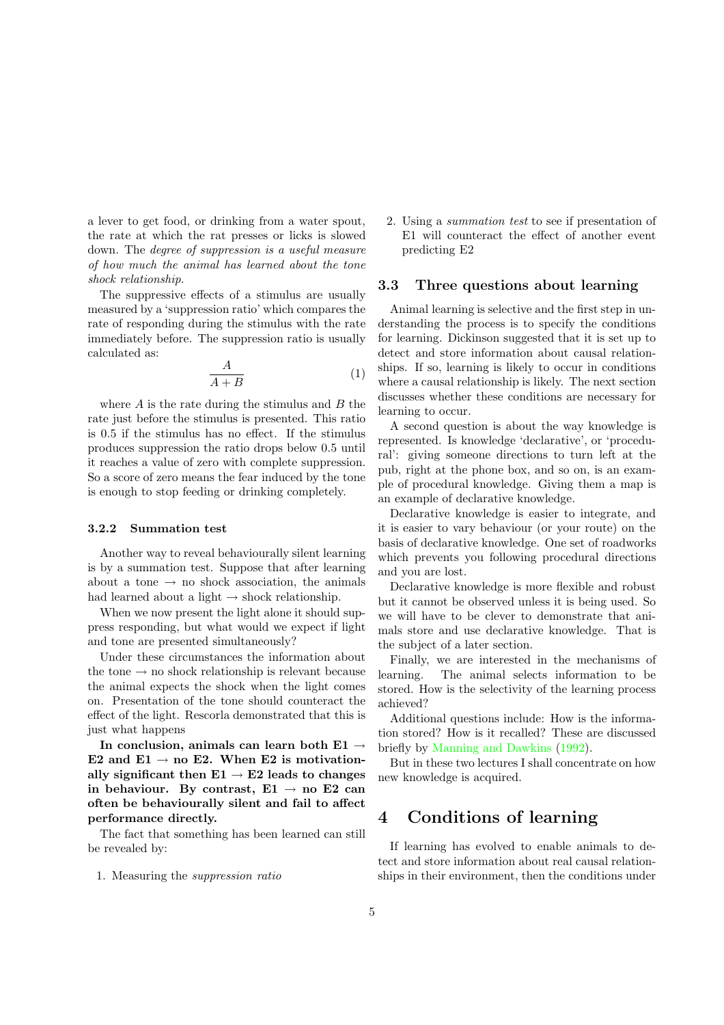a lever to get food, or drinking from a water spout, the rate at which the rat presses or licks is slowed down. The degree of suppression is a useful measure of how much the animal has learned about the tone shock relationship.

The suppressive effects of a stimulus are usually measured by a 'suppression ratio' which compares the rate of responding during the stimulus with the rate immediately before. The suppression ratio is usually calculated as:

$$
\frac{A}{A+B} \tag{1}
$$

where  $A$  is the rate during the stimulus and  $B$  the rate just before the stimulus is presented. This ratio is 0.5 if the stimulus has no effect. If the stimulus produces suppression the ratio drops below 0.5 until it reaches a value of zero with complete suppression. So a score of zero means the fear induced by the tone is enough to stop feeding or drinking completely.

#### 3.2.2 Summation test

Another way to reveal behaviourally silent learning is by a summation test. Suppose that after learning about a tone  $\rightarrow$  no shock association, the animals had learned about a light  $\rightarrow$  shock relationship.

When we now present the light alone it should suppress responding, but what would we expect if light and tone are presented simultaneously?

Under these circumstances the information about the tone  $\rightarrow$  no shock relationship is relevant because the animal expects the shock when the light comes on. Presentation of the tone should counteract the effect of the light. Rescorla demonstrated that this is just what happens

In conclusion, animals can learn both E1  $\rightarrow$ E2 and E1  $\rightarrow$  no E2. When E2 is motivationally significant then  $E1 \rightarrow E2$  leads to changes in behaviour. By contrast,  $E1 \rightarrow$  no E2 can often be behaviourally silent and fail to affect performance directly.

The fact that something has been learned can still be revealed by:

1. Measuring the suppression ratio

2. Using a summation test to see if presentation of E1 will counteract the effect of another event predicting E2

#### 3.3 Three questions about learning

Animal learning is selective and the first step in understanding the process is to specify the conditions for learning. Dickinson suggested that it is set up to detect and store information about causal relationships. If so, learning is likely to occur in conditions where a causal relationship is likely. The next section discusses whether these conditions are necessary for learning to occur.

A second question is about the way knowledge is represented. Is knowledge 'declarative', or 'procedural': giving someone directions to turn left at the pub, right at the phone box, and so on, is an example of procedural knowledge. Giving them a map is an example of declarative knowledge.

Declarative knowledge is easier to integrate, and it is easier to vary behaviour (or your route) on the basis of declarative knowledge. One set of roadworks which prevents you following procedural directions and you are lost.

Declarative knowledge is more flexible and robust but it cannot be observed unless it is being used. So we will have to be clever to demonstrate that animals store and use declarative knowledge. That is the subject of a later section.

Finally, we are interested in the mechanisms of learning. The animal selects information to be stored. How is the selectivity of the learning process achieved?

Additional questions include: How is the information stored? How is it recalled? These are discussed briefly by [Manning](#page-16-0) and Dawkins [\(1992\)](#page-16-0).

But in these two lectures I shall concentrate on how new knowledge is acquired.

# 4 Conditions of learning

If learning has evolved to enable animals to detect and store information about real causal relationships in their environment, then the conditions under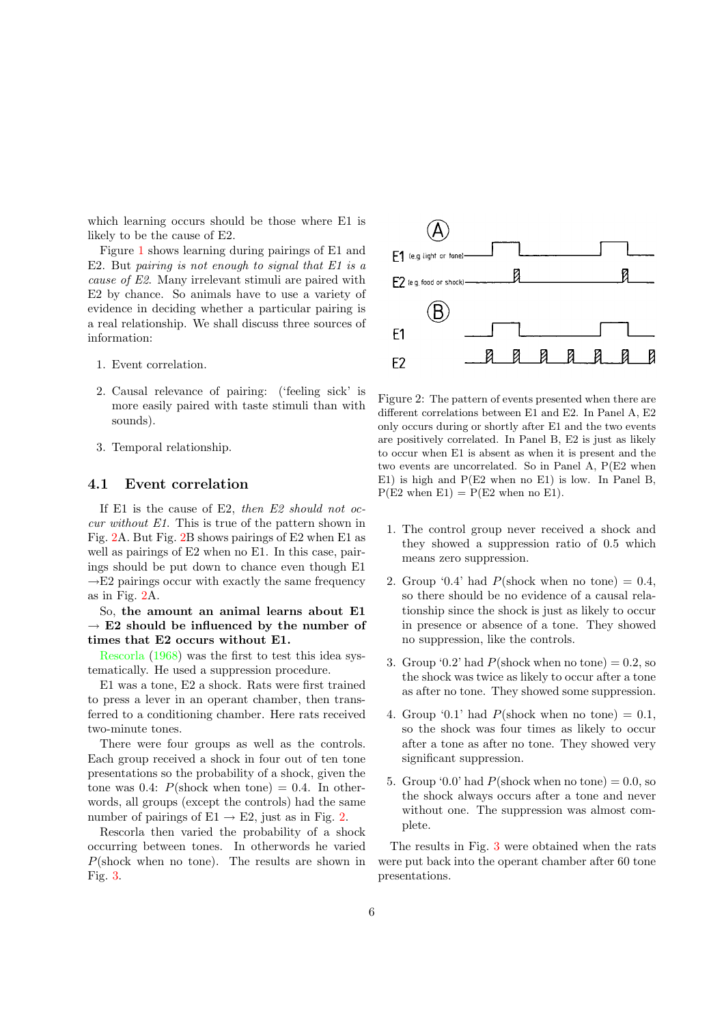which learning occurs should be those where E1 is likely to be the cause of E2.

Figure [1](#page-3-0) shows learning during pairings of E1 and E2. But pairing is not enough to signal that  $E1$  is a cause of E2. Many irrelevant stimuli are paired with E2 by chance. So animals have to use a variety of evidence in deciding whether a particular pairing is a real relationship. We shall discuss three sources of information:

- 1. Event correlation.
- 2. Causal relevance of pairing: ('feeling sick' is more easily paired with taste stimuli than with sounds).
- 3. Temporal relationship.

#### 4.1 Event correlation

If E1 is the cause of E2, then  $E2$  should not occur without E1. This is true of the pattern shown in Fig. [2A](#page-5-0). But Fig. [2B](#page-5-0) shows pairings of E2 when E1 as well as pairings of E2 when no E1. In this case, pairings should be put down to chance even though E1  $\rightarrow$ E2 pairings occur with exactly the same frequency as in Fig. [2A](#page-5-0).

So, the amount an animal learns about E1  $\rightarrow$  E2 should be influenced by the number of times that E2 occurs without E1.

[Rescorla](#page-16-5) [\(1968](#page-16-5)) was the first to test this idea systematically. He used a suppression procedure.

E1 was a tone, E2 a shock. Rats were first trained to press a lever in an operant chamber, then transferred to a conditioning chamber. Here rats received two-minute tones.

There were four groups as well as the controls. Each group received a shock in four out of ten tone presentations so the probability of a shock, given the tone was 0.4:  $P(\text{shock when tone}) = 0.4$ . In otherwords, all groups (except the controls) had the same number of pairings of  $E1 \rightarrow E2$ , just as in Fig. [2.](#page-5-0)

Rescorla then varied the probability of a shock occurring between tones. In otherwords he varied  $P(\text{shock when no tone})$ . The results are shown in Fig. [3.](#page-6-0)



<span id="page-5-0"></span>Figure 2: The pattern of events presented when there are different correlations between E1 and E2. In Panel A, E2 only occurs during or shortly after E1 and the two events are positively correlated. In Panel B, E2 is just as likely to occur when E1 is absent as when it is present and the two events are uncorrelated. So in Panel A, P(E2 when E1) is high and P(E2 when no E1) is low. In Panel B,  $P(E2 \text{ when } E1) = P(E2 \text{ when no } E1).$ 

- 1. The control group never received a shock and they showed a suppression ratio of 0.5 which means zero suppression.
- 2. Group '0.4' had  $P(\text{shock when no tone}) = 0.4$ . so there should be no evidence of a causal relationship since the shock is just as likely to occur in presence or absence of a tone. They showed no suppression, like the controls.
- 3. Group '0.2' had  $P(\text{shock when no tone}) = 0.2$ , so the shock was twice as likely to occur after a tone as after no tone. They showed some suppression.
- 4. Group '0.1' had  $P(\text{shock when no tone}) = 0.1$ , so the shock was four times as likely to occur after a tone as after no tone. They showed very significant suppression.
- 5. Group '0.0' had  $P(\text{shock when no tone}) = 0.0$ , so the shock always occurs after a tone and never without one. The suppression was almost complete.

The results in Fig. [3](#page-6-0) were obtained when the rats were put back into the operant chamber after 60 tone presentations.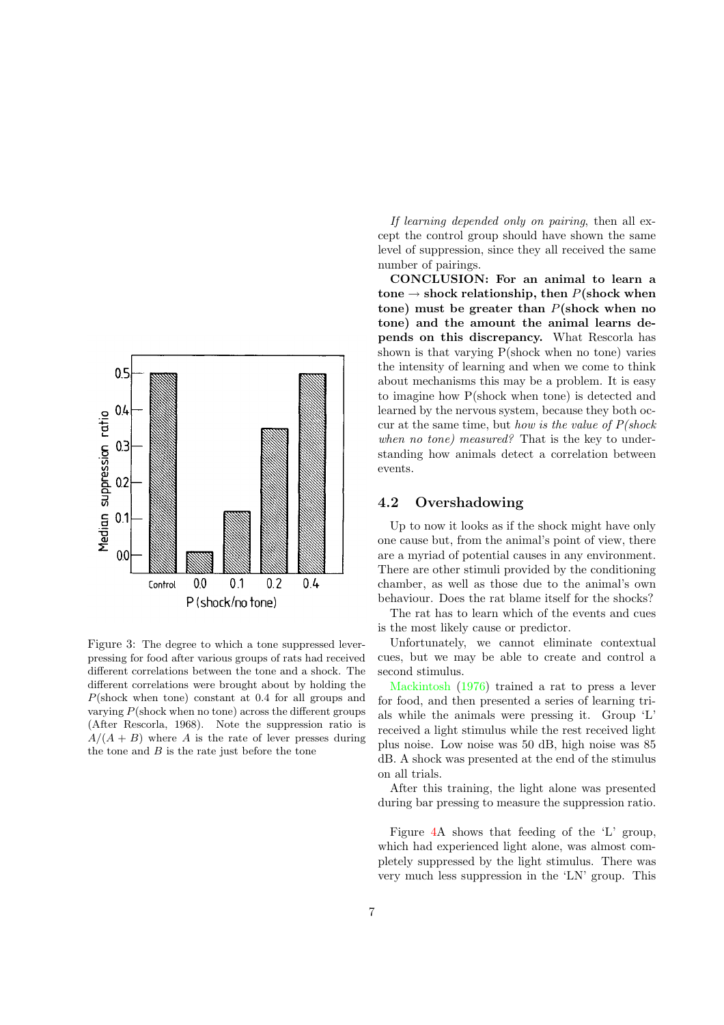

<span id="page-6-0"></span>Figure 3: The degree to which a tone suppressed leverpressing for food after various groups of rats had received different correlations between the tone and a shock. The different correlations were brought about by holding the P(shock when tone) constant at 0.4 for all groups and varying  $P(\text{shock when no tone})$  across the different groups (After Rescorla, 1968). Note the suppression ratio is  $A/(A + B)$  where A is the rate of lever presses during the tone and  $B$  is the rate just before the tone

If learning depended only on pairing, then all except the control group should have shown the same level of suppression, since they all received the same number of pairings.

CONCLUSION: For an animal to learn a tone  $\rightarrow$  shock relationship, then P(shock when tone) must be greater than  $P(\text{shock when no})$ tone) and the amount the animal learns depends on this discrepancy. What Rescorla has shown is that varying P(shock when no tone) varies the intensity of learning and when we come to think about mechanisms this may be a problem. It is easy to imagine how P(shock when tone) is detected and learned by the nervous system, because they both occur at the same time, but how is the value of  $P(\text{shock})$ when no tone) measured? That is the key to understanding how animals detect a correlation between events.

#### 4.2 Overshadowing

Up to now it looks as if the shock might have only one cause but, from the animal's point of view, there are a myriad of potential causes in any environment. There are other stimuli provided by the conditioning chamber, as well as those due to the animal's own behaviour. Does the rat blame itself for the shocks?

The rat has to learn which of the events and cues is the most likely cause or predictor.

Unfortunately, we cannot eliminate contextual cues, but we may be able to create and control a second stimulus.

[Mackintosh](#page-16-6) [\(1976\)](#page-16-6) trained a rat to press a lever for food, and then presented a series of learning trials while the animals were pressing it. Group 'L' received a light stimulus while the rest received light plus noise. Low noise was 50 dB, high noise was 85 dB. A shock was presented at the end of the stimulus on all trials.

After this training, the light alone was presented during bar pressing to measure the suppression ratio.

Figure [4A](#page-7-0) shows that feeding of the 'L' group, which had experienced light alone, was almost completely suppressed by the light stimulus. There was very much less suppression in the 'LN' group. This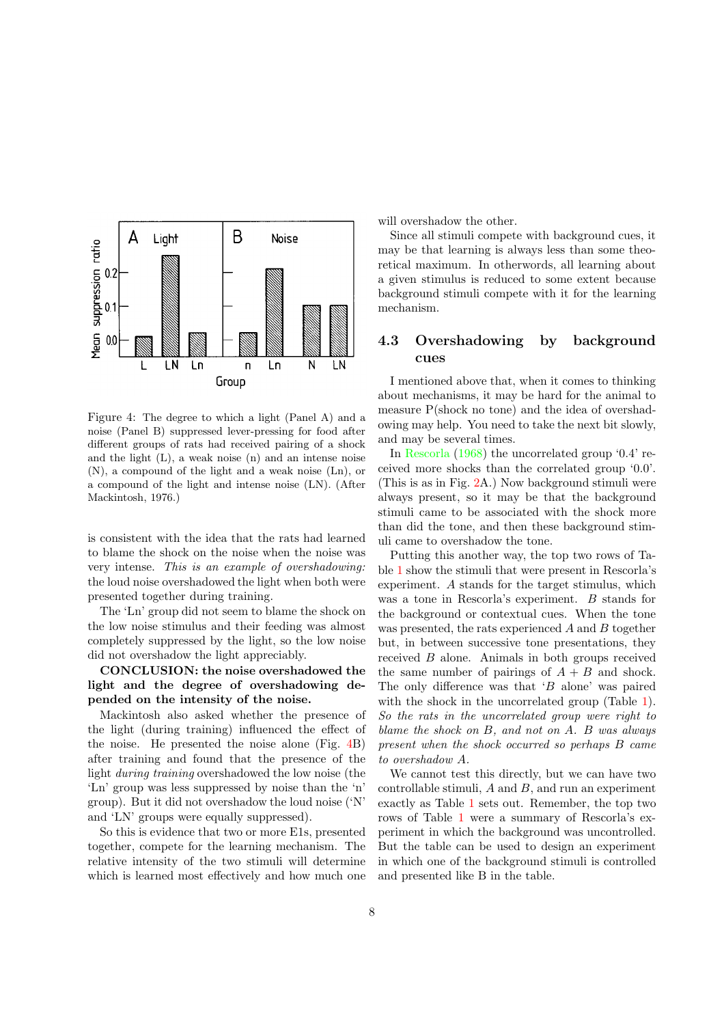

<span id="page-7-0"></span>Figure 4: The degree to which a light (Panel A) and a noise (Panel B) suppressed lever-pressing for food after different groups of rats had received pairing of a shock and the light (L), a weak noise (n) and an intense noise (N), a compound of the light and a weak noise (Ln), or a compound of the light and intense noise (LN). (After Mackintosh, 1976.)

is consistent with the idea that the rats had learned to blame the shock on the noise when the noise was very intense. This is an example of overshadowing: the loud noise overshadowed the light when both were presented together during training.

The 'Ln' group did not seem to blame the shock on the low noise stimulus and their feeding was almost completely suppressed by the light, so the low noise did not overshadow the light appreciably.

CONCLUSION: the noise overshadowed the light and the degree of overshadowing depended on the intensity of the noise.

Mackintosh also asked whether the presence of the light (during training) influenced the effect of the noise. He presented the noise alone (Fig. [4B](#page-7-0)) after training and found that the presence of the light during training overshadowed the low noise (the 'Ln' group was less suppressed by noise than the 'n' group). But it did not overshadow the loud noise ('N' and 'LN' groups were equally suppressed).

So this is evidence that two or more E1s, presented together, compete for the learning mechanism. The relative intensity of the two stimuli will determine which is learned most effectively and how much one will overshadow the other.

Since all stimuli compete with background cues, it may be that learning is always less than some theoretical maximum. In otherwords, all learning about a given stimulus is reduced to some extent because background stimuli compete with it for the learning mechanism.

### 4.3 Overshadowing by background cues

I mentioned above that, when it comes to thinking about mechanisms, it may be hard for the animal to measure P(shock no tone) and the idea of overshadowing may help. You need to take the next bit slowly, and may be several times.

In [Rescorla](#page-16-5) [\(1968\)](#page-16-5) the uncorrelated group '0.4' received more shocks than the correlated group '0.0'. (This is as in Fig. [2A](#page-5-0).) Now background stimuli were always present, so it may be that the background stimuli came to be associated with the shock more than did the tone, and then these background stimuli came to overshadow the tone.

Putting this another way, the top two rows of Table [1](#page-8-0) show the stimuli that were present in Rescorla's experiment. A stands for the target stimulus, which was a tone in Rescorla's experiment. B stands for the background or contextual cues. When the tone was presented, the rats experienced A and B together but, in between successive tone presentations, they received B alone. Animals in both groups received the same number of pairings of  $A + B$  and shock. The only difference was that 'B alone' was paired with the shock in the uncorrelated group (Table [1\)](#page-8-0). So the rats in the uncorrelated group were right to blame the shock on B, and not on A. B was always present when the shock occurred so perhaps B came to overshadow A.

We cannot test this directly, but we can have two controllable stimuli,  $A$  and  $B$ , and run an experiment exactly as Table [1](#page-8-0) sets out. Remember, the top two rows of Table [1](#page-8-0) were a summary of Rescorla's experiment in which the background was uncontrolled. But the table can be used to design an experiment in which one of the background stimuli is controlled and presented like B in the table.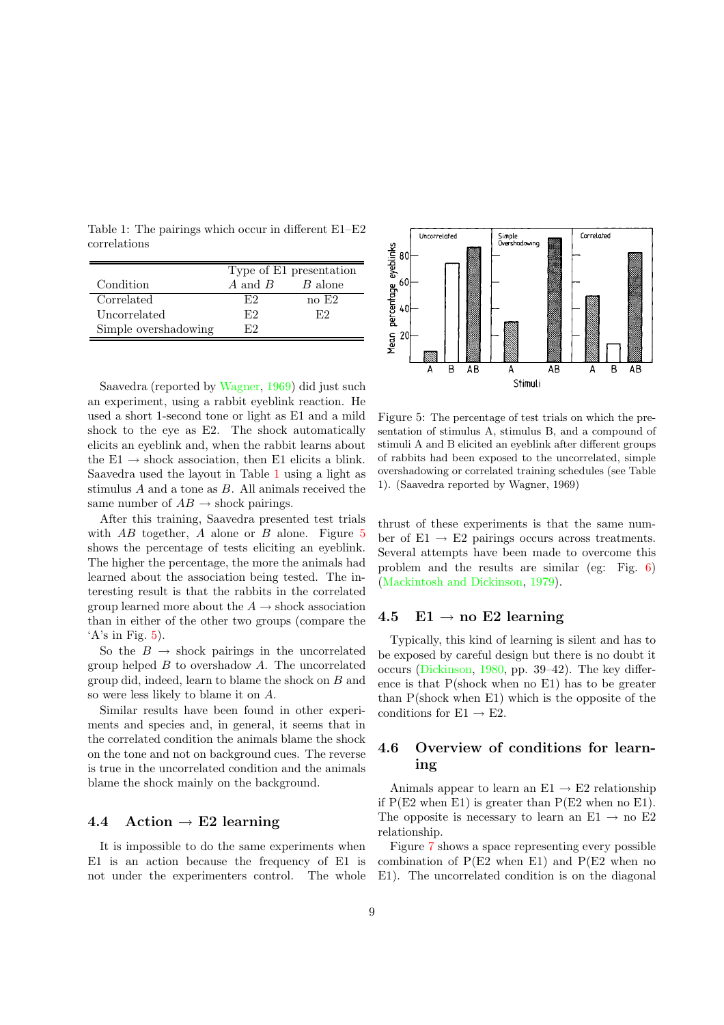<span id="page-8-0"></span>Table 1: The pairings which occur in different E1–E2 correlations

|                      | Type of E1 presentation |         |
|----------------------|-------------------------|---------|
| Condition            | A and B                 | B alone |
| Correlated           | F2                      | no E2   |
| Uncorrelated         | F.2                     | F2      |
| Simple overshadowing | ドワ                      |         |

Saavedra (reported by [Wagner,](#page-17-2) [1969](#page-17-2)) did just such an experiment, using a rabbit eyeblink reaction. He used a short 1-second tone or light as E1 and a mild shock to the eye as E2. The shock automatically elicits an eyeblink and, when the rabbit learns about the  $E1 \rightarrow$  shock association, then E1 elicits a blink. Saavedra used the layout in Table [1](#page-8-0) using a light as stimulus A and a tone as B. All animals received the same number of  $AB \rightarrow$  shock pairings.

After this training, Saavedra presented test trials with  $AB$  together, A alone or B alone. Figure [5](#page-8-1) shows the percentage of tests eliciting an eyeblink. The higher the percentage, the more the animals had learned about the association being tested. The interesting result is that the rabbits in the correlated group learned more about the  $A \rightarrow$  shock association than in either of the other two groups (compare the 'A's in Fig.  $5$ ).

So the  $B \rightarrow$  shock pairings in the uncorrelated group helped  $B$  to overshadow  $A$ . The uncorrelated group did, indeed, learn to blame the shock on B and so were less likely to blame it on A.

Similar results have been found in other experiments and species and, in general, it seems that in the correlated condition the animals blame the shock on the tone and not on background cues. The reverse is true in the uncorrelated condition and the animals blame the shock mainly on the background.

### 4.4 Action  $\rightarrow$  E2 learning

It is impossible to do the same experiments when E1 is an action because the frequency of E1 is not under the experimenters control. The whole



<span id="page-8-1"></span>Figure 5: The percentage of test trials on which the presentation of stimulus A, stimulus B, and a compound of stimuli A and B elicited an eyeblink after different groups of rabbits had been exposed to the uncorrelated, simple overshadowing or correlated training schedules (see Table 1). (Saavedra reported by Wagner, 1969)

thrust of these experiments is that the same number of  $E1 \rightarrow E2$  pairings occurs across treatments. Several attempts have been made to overcome this problem and the results are similar (eg: Fig. [6\)](#page-9-0) [\(Mackintosh](#page-16-7) and Dickinson, [1979\)](#page-16-7).

#### 4.5 E1  $\rightarrow$  no E2 learning

Typically, this kind of learning is silent and has to be exposed by careful design but there is no doubt it occurs [\(Dickinson,](#page-16-1) [1980,](#page-16-1) pp. 39–42). The key difference is that P(shock when no E1) has to be greater than P(shock when E1) which is the opposite of the conditions for  $E1 \rightarrow E2$ .

## 4.6 Overview of conditions for learning

Animals appear to learn an  $E1 \rightarrow E2$  relationship if  $P(E2 \text{ when } E1)$  is greater than  $P(E2 \text{ when no } E1)$ . The opposite is necessary to learn an E1  $\rightarrow$  no E2 relationship.

Figure [7](#page-9-1) shows a space representing every possible combination of  $P(E2 \text{ when } E1)$  and  $P(E2 \text{ when } n$ E1). The uncorrelated condition is on the diagonal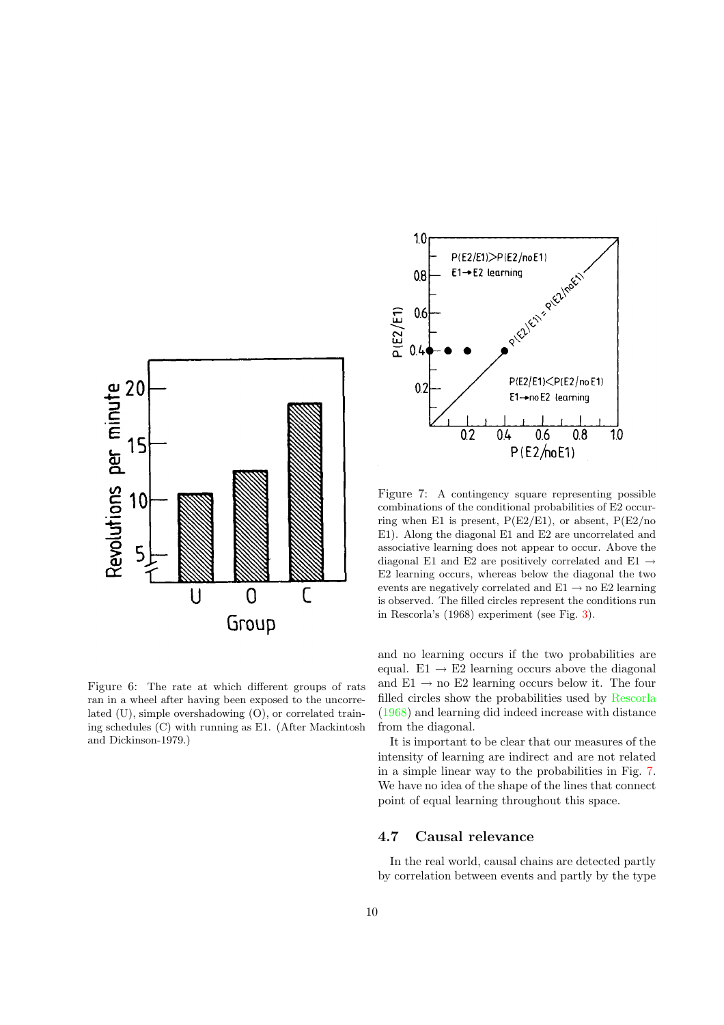

<span id="page-9-0"></span>Figure 6: The rate at which different groups of rats ran in a wheel after having been exposed to the uncorrelated (U), simple overshadowing (O), or correlated training schedules (C) with running as E1. (After Mackintosh and Dickinson-1979.)



<span id="page-9-1"></span>Figure 7: A contingency square representing possible combinations of the conditional probabilities of E2 occurring when E1 is present,  $P(E2/E1)$ , or absent,  $P(E2/no$ E1). Along the diagonal E1 and E2 are uncorrelated and associative learning does not appear to occur. Above the diagonal E1 and E2 are positively correlated and E1  $\rightarrow$ E2 learning occurs, whereas below the diagonal the two events are negatively correlated and  $E1 \rightarrow$  no  $E2$  learning is observed. The filled circles represent the conditions run in Rescorla's (1968) experiment (see Fig. [3\)](#page-6-0).

and no learning occurs if the two probabilities are equal.  $E1 \rightarrow E2$  learning occurs above the diagonal and  $E1 \rightarrow$  no  $E2$  learning occurs below it. The four filled circles show the probabilities used by [Rescorla](#page-16-5) [\(1968\)](#page-16-5) and learning did indeed increase with distance from the diagonal.

It is important to be clear that our measures of the intensity of learning are indirect and are not related in a simple linear way to the probabilities in Fig. [7.](#page-9-1) We have no idea of the shape of the lines that connect point of equal learning throughout this space.

#### 4.7 Causal relevance

In the real world, causal chains are detected partly by correlation between events and partly by the type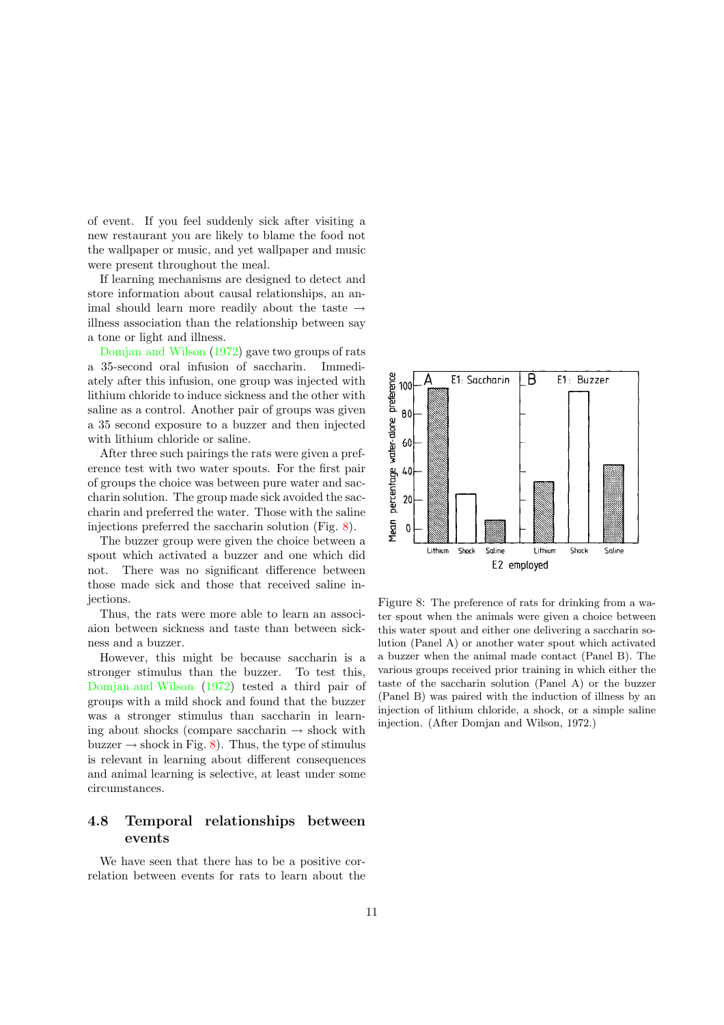of event. If you feel suddenly sick after visiting a new restaurant you are likely to blame the food not the wallpaper or music, and yet wallpaper and music were present throughout the meal.

If learning mechanisms are designed to detect and store information about causal relationships, an animal should learn more readily about the taste  $\rightarrow$ illness association than the relationship between say a tone or light and illness.

[Domjan](#page-16-8) and Wilson [\(1972\)](#page-16-8) gave two groups of rats a 35-second oral infusion of saccharin. Immediately after this infusion, one group was injected with lithium chloride to induce sickness and the other with saline as a control. Another pair of groups was given a 35 second exposure to a buzzer and then injected with lithium chloride or saline.

After three such pairings the rats were given a preference test with two water spouts. For the first pair of groups the choice was between pure water and saccharin solution. The group made sick avoided the saccharin and preferred the water. Those with the saline injections preferred the saccharin solution (Fig. [8\)](#page-10-0).

The buzzer group were given the choice between a spout which activated a buzzer and one which did not. There was no significant difference between those made sick and those that received saline injections.

Thus, the rats were more able to learn an associaion between sickness and taste than between sickness and a buzzer.

However, this might be because saccharin is a stronger stimulus than the buzzer. To test this, [Domjan](#page-16-8) and Wilson [\(1972](#page-16-8)) tested a third pair of groups with a mild shock and found that the buzzer was a stronger stimulus than saccharin in learning about shocks (compare saccharin  $\rightarrow$  shock with buzzer  $\rightarrow$  shock in Fig. [8\)](#page-10-0). Thus, the type of stimulus is relevant in learning about different consequences and animal learning is selective, at least under some circumstances.

## 4.8 Temporal relationships between events

We have seen that there has to be a positive correlation between events for rats to learn about the



<span id="page-10-0"></span>Figure 8: The preference of rats for drinking from a water spout when the animals were given a choice between this water spout and either one delivering a saccharin solution (Panel A) or another water spout which activated a buzzer when the animal made contact (Panel B). The various groups received prior training in which either the taste of the saccharin solution (Panel A) or the buzzer (Panel B) was paired with the induction of illness by an injection of lithium chloride, a shock, or a simple saline injection. (After Domjan and Wilson, 1972.)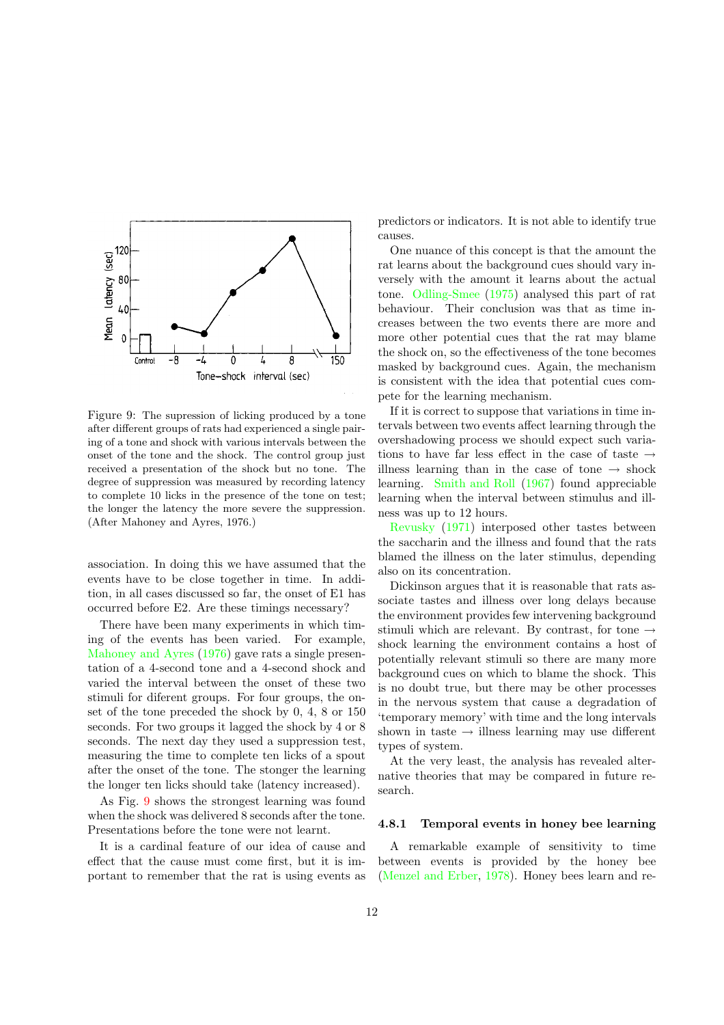

<span id="page-11-0"></span>Figure 9: The supression of licking produced by a tone after different groups of rats had experienced a single pairing of a tone and shock with various intervals between the onset of the tone and the shock. The control group just received a presentation of the shock but no tone. The degree of suppression was measured by recording latency to complete 10 licks in the presence of the tone on test; the longer the latency the more severe the suppression. (After Mahoney and Ayres, 1976.)

association. In doing this we have assumed that the events have to be close together in time. In addition, in all cases discussed so far, the onset of E1 has occurred before E2. Are these timings necessary?

There have been many experiments in which timing of the events has been varied. For example, [Mahoney](#page-16-9) and Ayres [\(1976](#page-16-9)) gave rats a single presentation of a 4-second tone and a 4-second shock and varied the interval between the onset of these two stimuli for diferent groups. For four groups, the onset of the tone preceded the shock by 0, 4, 8 or 150 seconds. For two groups it lagged the shock by 4 or 8 seconds. The next day they used a suppression test, measuring the time to complete ten licks of a spout after the onset of the tone. The stonger the learning the longer ten licks should take (latency increased).

As Fig. [9](#page-11-0) shows the strongest learning was found when the shock was delivered 8 seconds after the tone. Presentations before the tone were not learnt.

It is a cardinal feature of our idea of cause and effect that the cause must come first, but it is important to remember that the rat is using events as predictors or indicators. It is not able to identify true causes.

One nuance of this concept is that the amount the rat learns about the background cues should vary inversely with the amount it learns about the actual tone. [Odling-Smee](#page-16-10) [\(1975](#page-16-10)) analysed this part of rat behaviour. Their conclusion was that as time increases between the two events there are more and more other potential cues that the rat may blame the shock on, so the effectiveness of the tone becomes masked by background cues. Again, the mechanism is consistent with the idea that potential cues compete for the learning mechanism.

If it is correct to suppose that variations in time intervals between two events affect learning through the overshadowing process we should expect such variations to have far less effect in the case of taste  $\rightarrow$ illness learning than in the case of tone  $\rightarrow$  shock learning. [Smith](#page-17-3) and Roll [\(1967](#page-17-3)) found appreciable learning when the interval between stimulus and illness was up to 12 hours.

[Revusky](#page-16-11) [\(1971\)](#page-16-11) interposed other tastes between the saccharin and the illness and found that the rats blamed the illness on the later stimulus, depending also on its concentration.

Dickinson argues that it is reasonable that rats associate tastes and illness over long delays because the environment provides few intervening background stimuli which are relevant. By contrast, for tone  $\rightarrow$ shock learning the environment contains a host of potentially relevant stimuli so there are many more background cues on which to blame the shock. This is no doubt true, but there may be other processes in the nervous system that cause a degradation of 'temporary memory' with time and the long intervals shown in taste  $\rightarrow$  illness learning may use different types of system.

At the very least, the analysis has revealed alternative theories that may be compared in future research.

#### 4.8.1 Temporal events in honey bee learning

A remarkable example of sensitivity to time between events is provided by the honey bee [\(Menzel](#page-16-12) and Erber, [1978\)](#page-16-12). Honey bees learn and re-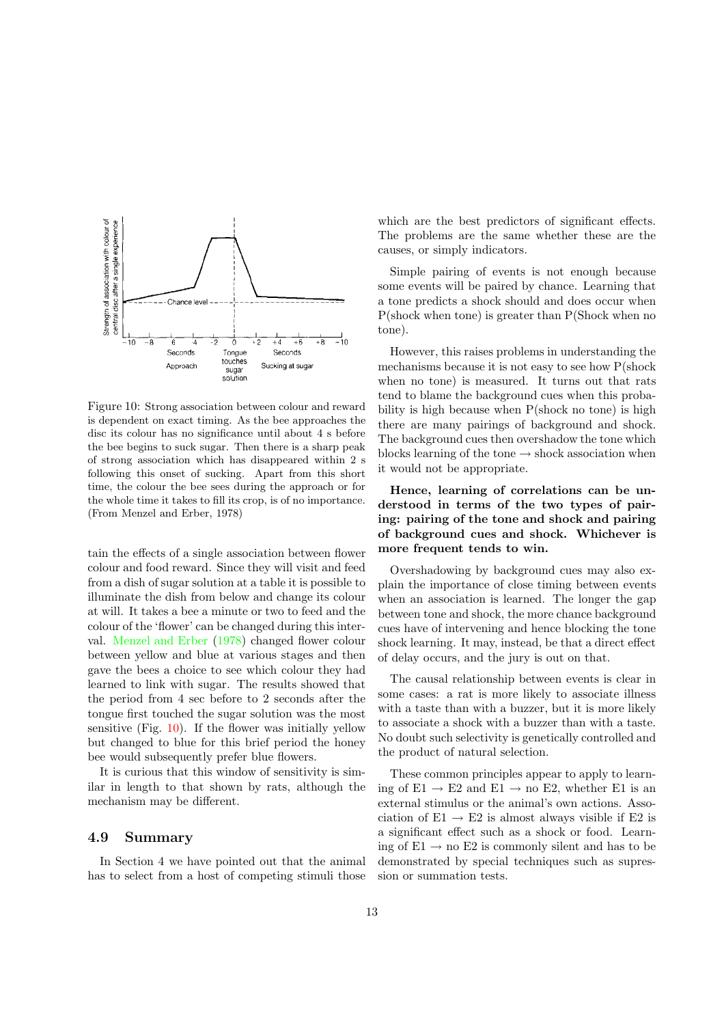

<span id="page-12-0"></span>Figure 10: Strong association between colour and reward is dependent on exact timing. As the bee approaches the disc its colour has no significance until about 4 s before the bee begins to suck sugar. Then there is a sharp peak of strong association which has disappeared within 2 s following this onset of sucking. Apart from this short time, the colour the bee sees during the approach or for the whole time it takes to fill its crop, is of no importance. (From Menzel and Erber, 1978)

tain the effects of a single association between flower colour and food reward. Since they will visit and feed from a dish of sugar solution at a table it is possible to illuminate the dish from below and change its colour at will. It takes a bee a minute or two to feed and the colour of the 'flower' can be changed during this interval. [Menzel](#page-16-12) and Erber [\(1978\)](#page-16-12) changed flower colour between yellow and blue at various stages and then gave the bees a choice to see which colour they had learned to link with sugar. The results showed that the period from 4 sec before to 2 seconds after the tongue first touched the sugar solution was the most sensitive (Fig. [10\)](#page-12-0). If the flower was initially yellow but changed to blue for this brief period the honey bee would subsequently prefer blue flowers.

It is curious that this window of sensitivity is similar in length to that shown by rats, although the mechanism may be different.

#### 4.9 Summary

In Section 4 we have pointed out that the animal has to select from a host of competing stimuli those

which are the best predictors of significant effects. The problems are the same whether these are the causes, or simply indicators.

Simple pairing of events is not enough because some events will be paired by chance. Learning that a tone predicts a shock should and does occur when P(shock when tone) is greater than P(Shock when no tone).

However, this raises problems in understanding the mechanisms because it is not easy to see how P(shock when no tone) is measured. It turns out that rats tend to blame the background cues when this probability is high because when P(shock no tone) is high there are many pairings of background and shock. The background cues then overshadow the tone which blocks learning of the tone  $\rightarrow$  shock association when it would not be appropriate.

Hence, learning of correlations can be understood in terms of the two types of pairing: pairing of the tone and shock and pairing of background cues and shock. Whichever is more frequent tends to win.

Overshadowing by background cues may also explain the importance of close timing between events when an association is learned. The longer the gap between tone and shock, the more chance background cues have of intervening and hence blocking the tone shock learning. It may, instead, be that a direct effect of delay occurs, and the jury is out on that.

The causal relationship between events is clear in some cases: a rat is more likely to associate illness with a taste than with a buzzer, but it is more likely to associate a shock with a buzzer than with a taste. No doubt such selectivity is genetically controlled and the product of natural selection.

These common principles appear to apply to learning of  $E1 \rightarrow E2$  and  $E1 \rightarrow$  no E2, whether E1 is an external stimulus or the animal's own actions. Association of  $E1 \rightarrow E2$  is almost always visible if E2 is a significant effect such as a shock or food. Learning of  $E1 \rightarrow$  no  $E2$  is commonly silent and has to be demonstrated by special techniques such as supression or summation tests.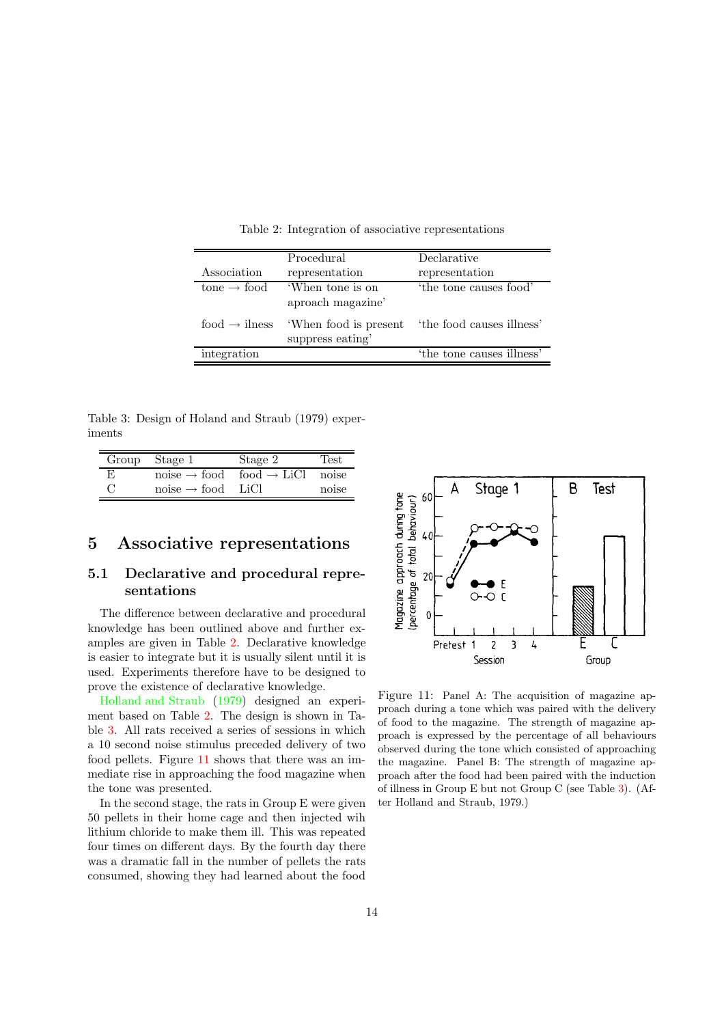<span id="page-13-0"></span>

|                                       | Procedural                               | Declarative               |
|---------------------------------------|------------------------------------------|---------------------------|
| Association                           | representation                           | representation            |
| $\text{cone} \rightarrow \text{food}$ | 'When tone is on<br>aproach magazine'    | 'the tone causes food'    |
| food $\rightarrow$ ilness             | When food is present<br>suppress eating' | the food causes illness'  |
| integration                           |                                          | 'the tone causes illness' |

Table 2: Integration of associative representations

<span id="page-13-1"></span>Table 3: Design of Holand and Straub (1979) experiments

|     | Group Stage 1                 | Stage 2                                                | Test <sup>'</sup> |
|-----|-------------------------------|--------------------------------------------------------|-------------------|
| - E |                               | $noise \rightarrow food$ food $\rightarrow LiCl$ noise |                   |
| - 0 | $noise \rightarrow food$ LiCl |                                                        | noise             |

# 5 Associative representations

## 5.1 Declarative and procedural representations

The difference between declarative and procedural knowledge has been outlined above and further examples are given in Table [2.](#page-13-0) Declarative knowledge is easier to integrate but it is usually silent until it is used. Experiments therefore have to be designed to prove the existence of declarative knowledge.

[Holland](#page-16-13) and Straub [\(1979\)](#page-16-13) designed an experiment based on Table [2.](#page-13-0) The design is shown in Table [3.](#page-13-1) All rats received a series of sessions in which a 10 second noise stimulus preceded delivery of two food pellets. Figure [11](#page-13-2) shows that there was an immediate rise in approaching the food magazine when the tone was presented.

In the second stage, the rats in Group E were given 50 pellets in their home cage and then injected wih lithium chloride to make them ill. This was repeated four times on different days. By the fourth day there was a dramatic fall in the number of pellets the rats consumed, showing they had learned about the food



<span id="page-13-2"></span>Figure 11: Panel A: The acquisition of magazine approach during a tone which was paired with the delivery of food to the magazine. The strength of magazine approach is expressed by the percentage of all behaviours observed during the tone which consisted of approaching the magazine. Panel B: The strength of magazine approach after the food had been paired with the induction of illness in Group E but not Group C (see Table [3\)](#page-13-1). (After Holland and Straub, 1979.)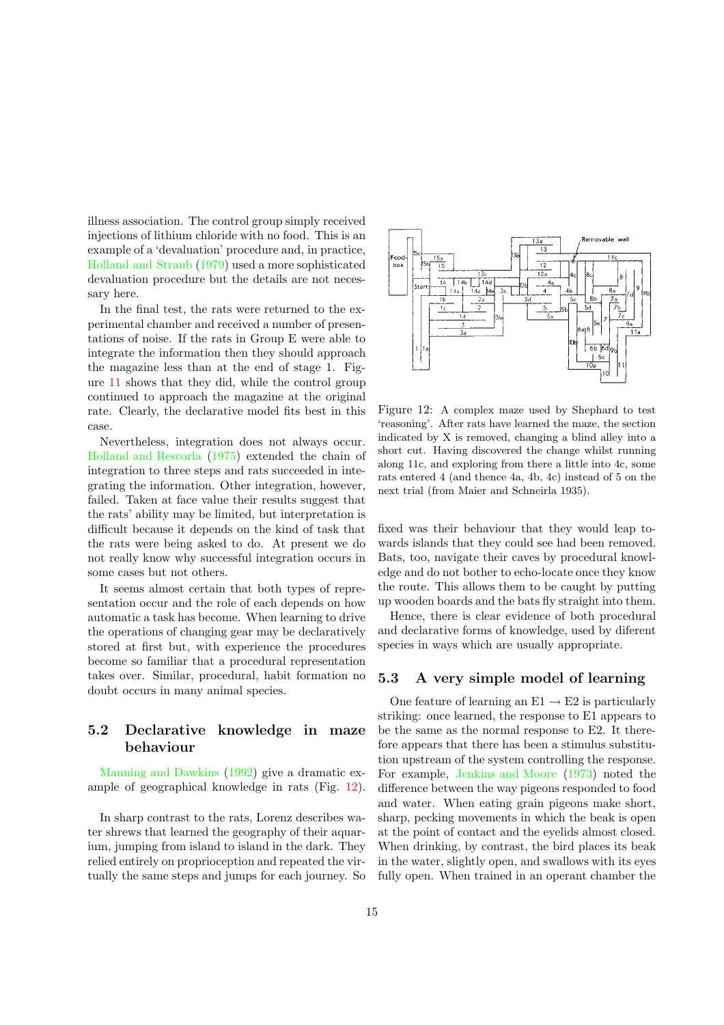illness association. The control group simply received injections of lithium chloride with no food. This is an example of a 'devaluation' procedure and, in practice, [Holland](#page-16-13) and Straub [\(1979\)](#page-16-13) used a more sophisticated devaluation procedure but the details are not necessary here.

In the final test, the rats were returned to the experimental chamber and received a number of presentations of noise. If the rats in Group E were able to integrate the information then they should approach the magazine less than at the end of stage 1. Figure [11](#page-13-2) shows that they did, while the control group continued to approach the magazine at the original rate. Clearly, the declarative model fits best in this case.

Nevertheless, integration does not always occur. Holland and [Rescorla](#page-16-14) [\(1975](#page-16-14)) extended the chain of integration to three steps and rats succeeded in integrating the information. Other integration, however, failed. Taken at face value their results suggest that the rats' ability may be limited, but interpretation is difficult because it depends on the kind of task that the rats were being asked to do. At present we do not really know why successful integration occurs in some cases but not others.

It seems almost certain that both types of representation occur and the role of each depends on how automatic a task has become. When learning to drive the operations of changing gear may be declaratively stored at first but, with experience the procedures become so familiar that a procedural representation takes over. Similar, procedural, habit formation no doubt occurs in many animal species.

# 5.2 Declarative knowledge in maze behaviour

[Manning](#page-16-0) and Dawkins [\(1992\)](#page-16-0) give a dramatic example of geographical knowledge in rats (Fig. [12\)](#page-14-0).

In sharp contrast to the rats, Lorenz describes water shrews that learned the geography of their aquarium, jumping from island to island in the dark. They relied entirely on proprioception and repeated the virtually the same steps and jumps for each journey. So



<span id="page-14-0"></span>Figure 12: A complex maze used by Shephard to test 'reasoning'. After rats have learned the maze, the section indicated by X is removed, changing a blind alley into a short cut. Having discovered the change whilst running along 11c, and exploring from there a little into 4c, some rats entered 4 (and thence 4a, 4b, 4c) instead of 5 on the next trial (from Maier and Schneirla 1935).

fixed was their behaviour that they would leap towards islands that they could see had been removed. Bats, too, navigate their caves by procedural knowledge and do not bother to echo-locate once they know the route. This allows them to be caught by putting up wooden boards and the bats fly straight into them.

Hence, there is clear evidence of both procedural and declarative forms of knowledge, used by diferent species in ways which are usually appropriate.

#### 5.3 A very simple model of learning

One feature of learning an  $E1 \rightarrow E2$  is particularly striking: once learned, the response to E1 appears to be the same as the normal response to E2. It therefore appears that there has been a stimulus substitution upstream of the system controlling the response. For example, [Jenkins](#page-16-15) and Moore [\(1973\)](#page-16-15) noted the difference between the way pigeons responded to food and water. When eating grain pigeons make short, sharp, pecking movements in which the beak is open at the point of contact and the eyelids almost closed. When drinking, by contrast, the bird places its beak in the water, slightly open, and swallows with its eyes fully open. When trained in an operant chamber the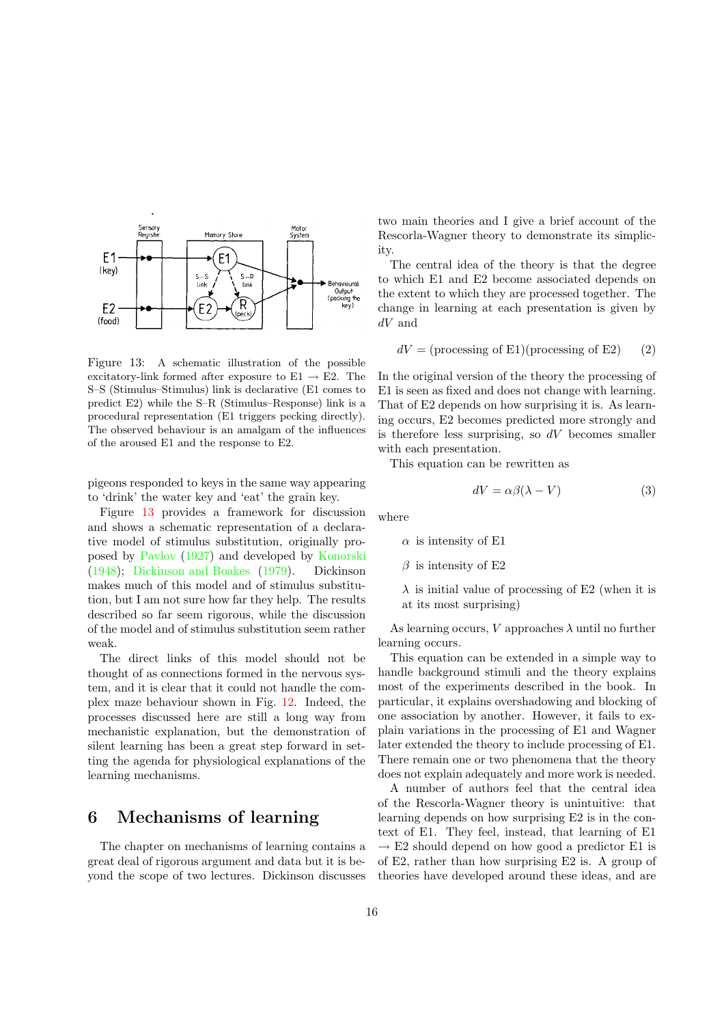

<span id="page-15-0"></span>Figure 13: A schematic illustration of the possible excitatory-link formed after exposure to  $E1 \rightarrow E2$ . The S–S (Stimulus–Stimulus) link is declarative (E1 comes to predict E2) while the S–R (Stimulus–Response) link is a procedural representation (E1 triggers pecking directly). The observed behaviour is an amalgam of the influences of the aroused E1 and the response to E2.

pigeons responded to keys in the same way appearing to 'drink' the water key and 'eat' the grain key.

Figure [13](#page-15-0) provides a framework for discussion and shows a schematic representation of a declarative model of stimulus substitution, originally proposed by [Pavlov](#page-16-16) [\(1927](#page-16-16)) and developed by [Konorski](#page-16-17) [\(1948\)](#page-16-17); [Dickinson](#page-16-18) and Boakes [\(1979\)](#page-16-18). Dickinson makes much of this model and of stimulus substitution, but I am not sure how far they help. The results described so far seem rigorous, while the discussion of the model and of stimulus substitution seem rather weak.

The direct links of this model should not be thought of as connections formed in the nervous system, and it is clear that it could not handle the complex maze behaviour shown in Fig. [12.](#page-14-0) Indeed, the processes discussed here are still a long way from mechanistic explanation, but the demonstration of silent learning has been a great step forward in setting the agenda for physiological explanations of the learning mechanisms.

## 6 Mechanisms of learning

The chapter on mechanisms of learning contains a great deal of rigorous argument and data but it is beyond the scope of two lectures. Dickinson discusses two main theories and I give a brief account of the Rescorla-Wagner theory to demonstrate its simplicity.

The central idea of the theory is that the degree to which E1 and E2 become associated depends on the extent to which they are processed together. The change in learning at each presentation is given by dV and

$$
dV = \text{(processing of E1)}\text{(processing of E2)}\tag{2}
$$

In the original version of the theory the processing of E1 is seen as fixed and does not change with learning. That of E2 depends on how surprising it is. As learning occurs, E2 becomes predicted more strongly and is therefore less surprising, so  $dV$  becomes smaller with each presentation.

This equation can be rewritten as

$$
dV = \alpha \beta (\lambda - V) \tag{3}
$$

where

 $\alpha$  is intensity of E1

 $\beta$  is intensity of E2

 $\lambda$  is initial value of processing of E2 (when it is at its most surprising)

As learning occurs, V approaches  $\lambda$  until no further learning occurs.

This equation can be extended in a simple way to handle background stimuli and the theory explains most of the experiments described in the book. In particular, it explains overshadowing and blocking of one association by another. However, it fails to explain variations in the processing of E1 and Wagner later extended the theory to include processing of E1. There remain one or two phenomena that the theory does not explain adequately and more work is needed.

A number of authors feel that the central idea of the Rescorla-Wagner theory is unintuitive: that learning depends on how surprising E2 is in the context of E1. They feel, instead, that learning of E1  $\rightarrow$  E2 should depend on how good a predictor E1 is of E2, rather than how surprising E2 is. A group of theories have developed around these ideas, and are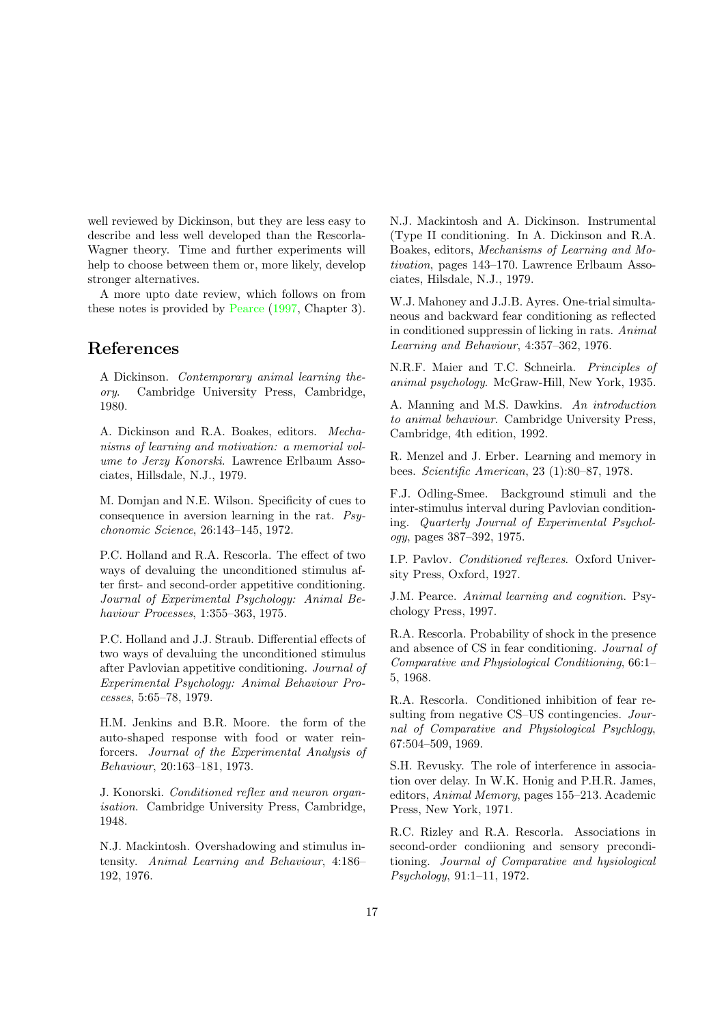well reviewed by Dickinson, but they are less easy to describe and less well developed than the Rescorla-Wagner theory. Time and further experiments will help to choose between them or, more likely, develop stronger alternatives.

A more upto date review, which follows on from these notes is provided by [Pearce](#page-16-2) [\(1997](#page-16-2), Chapter 3).

# <span id="page-16-1"></span>References

A Dickinson. Contemporary animal learning theory. Cambridge University Press, Cambridge, 1980.

<span id="page-16-18"></span>A. Dickinson and R.A. Boakes, editors. Mechanisms of learning and motivation: a memorial volume to Jerzy Konorski. Lawrence Erlbaum Associates, Hillsdale, N.J., 1979.

<span id="page-16-8"></span>M. Domjan and N.E. Wilson. Specificity of cues to consequence in aversion learning in the rat. Psychonomic Science, 26:143–145, 1972.

<span id="page-16-14"></span>P.C. Holland and R.A. Rescorla. The effect of two ways of devaluing the unconditioned stimulus after first- and second-order appetitive conditioning. Journal of Experimental Psychology: Animal Behaviour Processes, 1:355–363, 1975.

<span id="page-16-13"></span>P.C. Holland and J.J. Straub. Differential effects of two ways of devaluing the unconditioned stimulus after Pavlovian appetitive conditioning. Journal of Experimental Psychology: Animal Behaviour Processes, 5:65–78, 1979.

<span id="page-16-15"></span>H.M. Jenkins and B.R. Moore. the form of the auto-shaped response with food or water reinforcers. Journal of the Experimental Analysis of Behaviour, 20:163–181, 1973.

<span id="page-16-17"></span>J. Konorski. Conditioned reflex and neuron organisation. Cambridge University Press, Cambridge, 1948.

<span id="page-16-6"></span>N.J. Mackintosh. Overshadowing and stimulus intensity. Animal Learning and Behaviour, 4:186– 192, 1976.

<span id="page-16-7"></span>N.J. Mackintosh and A. Dickinson. Instrumental (Type II conditioning. In A. Dickinson and R.A. Boakes, editors, Mechanisms of Learning and Motivation, pages 143–170. Lawrence Erlbaum Associates, Hilsdale, N.J., 1979.

<span id="page-16-9"></span>W.J. Mahoney and J.J.B. Ayres. One-trial simultaneous and backward fear conditioning as reflected in conditioned suppressin of licking in rats. Animal Learning and Behaviour, 4:357–362, 1976.

N.R.F. Maier and T.C. Schneirla. Principles of animal psychology. McGraw-Hill, New York, 1935.

<span id="page-16-0"></span>A. Manning and M.S. Dawkins. An introduction to animal behaviour. Cambridge University Press, Cambridge, 4th edition, 1992.

<span id="page-16-12"></span>R. Menzel and J. Erber. Learning and memory in bees. Scientific American, 23 (1):80–87, 1978.

<span id="page-16-10"></span>F.J. Odling-Smee. Background stimuli and the inter-stimulus interval during Pavlovian conditioning. Quarterly Journal of Experimental Psychology, pages 387–392, 1975.

<span id="page-16-16"></span>I.P. Pavlov. Conditioned reflexes. Oxford University Press, Oxford, 1927.

<span id="page-16-2"></span>J.M. Pearce. Animal learning and cognition. Psychology Press, 1997.

<span id="page-16-5"></span>R.A. Rescorla. Probability of shock in the presence and absence of CS in fear conditioning. Journal of Comparative and Physiological Conditioning, 66:1– 5, 1968.

<span id="page-16-4"></span>R.A. Rescorla. Conditioned inhibition of fear resulting from negative CS–US contingencies. Journal of Comparative and Physiological Psychlogy, 67:504–509, 1969.

<span id="page-16-11"></span>S.H. Revusky. The role of interference in association over delay. In W.K. Honig and P.H.R. James, editors, Animal Memory, pages 155–213. Academic Press, New York, 1971.

<span id="page-16-3"></span>R.C. Rizley and R.A. Rescorla. Associations in second-order condiioning and sensory preconditioning. Journal of Comparative and hysiological Psychology, 91:1–11, 1972.